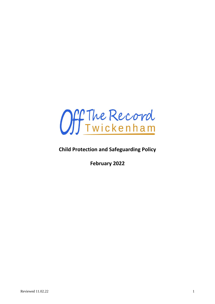

## **Child Protection and Safeguarding Policy**

**February 2022**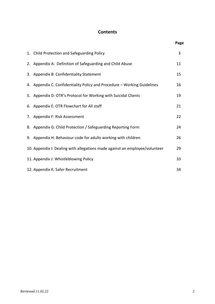#### **Contents**

| 1. Child Protection and Safeguarding Policy                                 | 3  |
|-----------------------------------------------------------------------------|----|
| 2. Appendix A: Definition of Safeguarding and Child Abuse                   | 11 |
| 3. Appendix B: Confidentiality Statement                                    | 15 |
| 4. Appendix C: Confidentiality Policy and Procedure - Working Guidelines    | 16 |
| 5. Appendix D: OTR's Protocol for Working with Suicidal Clients             | 19 |
| 6. Appendix E: OTR Flowchart for All staff                                  | 21 |
| 7. Appendix F: Risk Assessment                                              | 22 |
| 8. Appendix G: Child Protection / Safeguarding Reporting Form               | 24 |
| 9. Appendix H: Behaviour code for adults working with children              | 26 |
| 10. Appendix I: Dealing with allegations made against an employee/volunteer | 29 |
| 11. Appendix J: Whistleblowing Policy                                       | 33 |
| 12. Appendix K: Safer Recruitment                                           | 34 |

 **Page**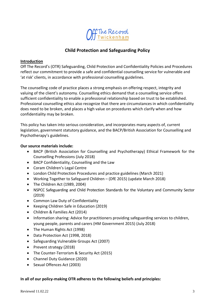

#### **Child Protection and Safeguarding Policy**

#### **Introduction**

Off The Record's (OTR) Safeguarding, Child Protection and Confidentiality Policies and Procedures reflect our commitment to provide a safe and confidential counselling service for vulnerable and 'at risk' clients, in accordance with professional counselling guidelines.

The counselling code of practice places a strong emphasis on offering respect, integrity and valuing of the client's autonomy. Counselling ethics demand that a counselling service offers sufficient confidentiality to enable a professional relationship based on trust to be established. Professional counselling ethics also recognize that there are circumstances in which confidentiality does need to be broken, and places a high value on procedures which clarify when and how confidentiality may be broken.

This policy has taken into serious consideration, and incorporates many aspects of, current legislation, government statutory guidance, and the BACP/British Association for Counselling and Psychotherapy's guidelines.

#### **Our source materials include:**

- BACP (British Association for Counselling and Psychotherapy) Ethical Framework for the Counselling Professions (July 2018)
- BACP Confidentiality, Counselling and the Law
- Coram Children's Legal Centre
- London Child Protection Procedures and practice guidelines (March 2021)
- Working Together to Safeguard Children (DfE 2015) (update March 2018)
- The Children Act (1989, 2004)
- NSPCC Safeguarding and Child Protection Standards for the Voluntary and Community Sector (2019)
- Common Law Duty of Confidentiality
- Keeping Children Safe in Education (2019)
- Children & Families Act (2014)
- Information sharing: Advice for practitioners providing safeguarding services to children, young people, parents and carers (HM Government 2015) (July 2018)
- The Human Rights Act (1998)
- Data Protection Act (1998, 2018)
- Safeguarding Vulnerable Groups Act (2007)
- Prevent strategy (2018)
- The Counter-Terrorism & Security Act (2015)
- Channel Duty Guidance (2020)
- Sexual Offences Act (2003)

#### **In all of our policy-making OTR adheres to the following beliefs and principles:**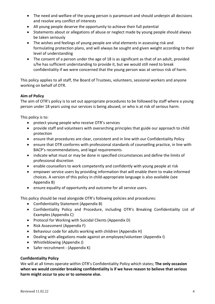- The need and welfare of the young person is paramount and should underpin all decisions and resolve any conflict of interests
- All young people deserve the opportunity to achieve their full potential
- Statements about or allegations of abuse or neglect made by young people should always be taken seriously
- The wishes and feelings of young people are vital elements in assessing risk and formulating protection plans, and will always be sought and given weight according to their level of understanding
- The consent of a person under the age of 18 is as significant as that of an adult, provided s/he has sufficient understanding to provide it, but we would still need to break confidentiality if we were concerned that the young person was at serious risk of harm.

This policy applies to all staff, the Board of Trustees, volunteers, sessional workers and anyone working on behalf of OTR.

#### **Aim of Policy**

The aim of OTR's policy is to set out appropriate procedures to be followed by staff where a young person under 18 years using our services is being abused, or who is at risk of serious harm.

This policy is to:

- protect young people who receive OTR's services
- provide staff and volunteers with overarching principles that guide our approach to child protection
- ensure that procedures are clear, consistent and in line with our Confidentiality Policy
- ensure that OTR conforms with professional standards of counselling practice, in line with BACP's recommendations, and legal requirements
- indicate what must or may be done in specified circumstances and define the limits of professional discretion
- enable counsellors to work competently and confidently with young people at risk
- empower service users by providing information that will enable them to make informed choices. A version of this policy in child-appropriate language is also available (see Appendix B)
- ensure equality of opportunity and outcome for all service users.

This policy should be read alongside OTR's following policies and procedures:

- Confidentiality Statement (Appendix B)
- Confidentiality Policy and Procedure, including OTR's Breaking Confidentiality List of Examples (Appendix C)
- Protocol for Working with Suicidal Clients (Appendix D)
- Risk Assessment (Appendix F)
- Behaviour code for adults working with children (Appendix H)
- Dealing with allegations made against an employee/volunteer (Appendix I)
- Whistleblowing (Appendix J)
- Safer recruitment (Appendix K)

#### **Confidentiality Policy**

We will at all times operate within OTR's Confidentiality Policy which states; **The only occasion when we would consider breaking confidentiality is if we have reason to believe that serious harm might occur to you or to someone else.**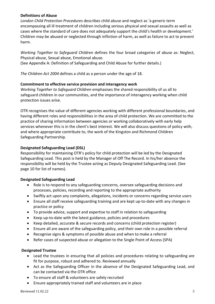#### **Definitions of Abuse**

*London Child Protection Procedures* describes child abuse and neglect as 'a generic term encompassing all ill treatment of children including serious physical and sexual assaults as well as cases where the standard of care does not adequately support the child's health or development.' Children may be abused or neglected through infliction of harm, as well as failure to act to prevent harm.

*Working Together to Safeguard Children* defines the four broad categories of abuse as: Neglect, Physical abuse, Sexual abuse, Emotional abuse.

(See Appendix A: Definition of Safeguarding and Child Abuse for further details.)

*The Children Act 2004* defines a child as a person under the age of 18.

#### **Commitment to effective service provision and interagency work**

*Working Together to Safeguard Children* emphasises the shared responsibility of us all to safeguard children in our communities, and the importance of interagency working when child protection issues arise.

OTR recognises the value of different agencies working with different professional boundaries, and having different roles and responsibilities in the area of child protection. We are committed to the practice of sharing information between agencies or working collaboratively with early help services whenever this is in the client's best interest. We will also discuss questions of policy with, and where appropriate contribute to, the work of the Kingston and Richmond Children Safeguarding Partnership.

#### **Designated Safeguarding Lead (DSL)**

Responsibility for maintaining OTR's policy for child protection will be led by the Designated Safeguarding Lead. This post is held by the Manager of Off The Record. In his/her absence the responsibility will be held by the Trustee acting as Deputy Designated Safeguarding Lead. (See page 10 for list of names).

#### **Designated Safeguarding Lead**

- Role is to respond to any safeguarding concerns, oversee safeguarding decisions and processes, policies, recording and reporting to the appropriate authority
- Swiftly act upon any complaints, allegations, incidents or concerns regarding service users
- Ensure all staff receive safeguarding training and are kept up-to-date with any changes in practice or policy
- To provide advice, support and expertise to staff in relation to safeguarding
- Keep up-to-date with the latest guidance, policies and procedures
- Keep detailed, accurate & secure records and concerns (child protection register)
- Ensure all are aware of the safeguarding policy, and their own role in a possible referral
- Recognise signs & symptoms of possible abuse and when to make a referral
- Refer cases of suspected abuse or allegation to the Single Point of Access (SPA)

#### **Designated Trustee**

- Lead the trustees in ensuring that all policies and procedures relating to safeguarding are fit for purpose, robust and adhered to. Reviewed annually
- Act as the Safeguarding Officer in the absence of the Designated Safeguarding Lead, and can be contacted via the OTR office
- To ensure all staff & volunteers are safely recruited
- Ensure appropriately trained staff and volunteers are in place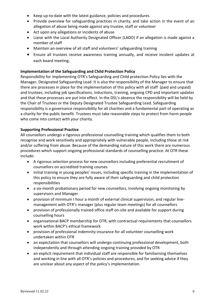- Keep up-to-date with the latest guidance, policies and procedures
- Provide overview for safeguarding practices in charity, and take action in the event of an allegation of abuse being made against any trustee, staff or volunteer
- Act upon any allegations or incidents of abuse
- Liaise with the Local Authority Designated Officer (LADO) if an allegation is made against a member of staff
- Maintain an overview of all staff and volunteers' safeguarding training
- Ensure all trustees receive awareness training annually, and receive incident updates at each board meeting.

#### **Implementation of the Safeguarding and Child Protection Policy**

Responsibility for implementing OTR's Safeguarding and Child protection Policy lies with the Manager, Designated Safeguarding Lead. It is also the responsibility of the Manager to ensure that there are processes in place for the implementation of this policy with all staff (paid and unpaid) and trustees, including job specifications, inductions, training, ongoing CPD and important updates and that these processes are put into effect. In the DSL's absence the responsibility will be held by the Chair of Trustees or the Deputy Designated Trustee Safeguarding Lead. Safeguarding responsibility is a governance responsibility for all charities and a fundamental part of operating as a charity for the public benefit. Trustees must take reasonable steps to protect from harm people who come into contact with your charity.

#### **Supporting Professional Practice**

All counsellors undergo a rigorous professional counselling training which qualifies them to both recognise and work sensitively and appropriately with vulnerable people, including those at risk and/or suffering from abuse. Because of the demanding nature of this work there are numerous procedures which support ongoing professional standards of counselling practice. At OTR these include:

- A rigorous selection process for new counsellors including preferential recruitment of counsellors on accredited training courses
- initial training in young peoples' issues, including specific training in the implementation of this policy to ensure they are fully aware of their safeguarding and child protection responsibilities
- a six-month probationary period for new counsellors, involving ongoing monitoring by supervisors and Manager
- provision of minimum I hour a month of external clinical supervision, and regular linemanagement with OTR's manager (plus regular team meetings) for all counsellors
- provision of professionally trained office staff on-site and available for support during counselling hours
- organisational BACP membership for OTR, with contractual requirements that counsellors work within BACP's ethical framework
- provision of professional indemnity insurance for all volunteer counselling work undertaken within OTR
- an expectation that counsellors will undergo continuing professional development, both independently and through attending ongoing training provided by OTR
- an explicit requirement that individual staff are responsible for familiarising themselves and working in line with all OTR's policies and procedures, and for seeking advice if they are unclear about any aspect of the policy's implementation.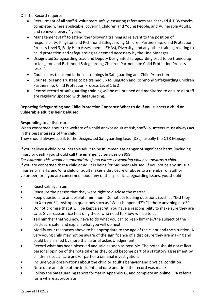Off The Record requires:

- Recruitment of all staff & volunteers safely, ensuring references are checked & DBS checks completed where applicable, covering Children and Young People, and Vulnerable Adults, and renewed every 4 years
- Management staff to attend the following training as relevant to the position of responsibility; Kingston and Richmond Safeguarding Children Partnership: Child Protection Process Level 3, Early Help Assessments (EHAs), Diversity, and any other training relating to child protection and safeguarding as deemed necessary by the Line Manager
- Designated Safeguarding Lead and Deputy Designated safeguarding Lead to be trained up to Kingston and Richmond Safeguarding Children Partnership: Child Protection Process Level 3
- Counsellors to attend in-house trainings in Safeguarding and Child Protection
- Counsellors and Trustees to be trained up to Kingston and Richmond Safeguarding Children Partnership: Child Protection Process Level 1 & 2
- Central record of safeguarding training will be maintained and monitored to ensure all staff are regularly updated with safeguarding.

#### **Reporting Safeguarding and Child Protection Concerns: What to do if you suspect a child or vulnerable adult is being abused**

#### **Responding to a disclosure**

When concerned about the welfare of a child and/or adult at risk, staff/volunteers must always act in the best interests of the child.

They should always speak to the Designated Safeguarding Lead (DSL), usually the OTR Manager

If you believe a child or vulnerable adult to be in immediate danger of significant harm (including injury or death) you should call the emergency services on 999.

*For example, this would be appropriate if you witness escalating violence towards a child.* If you are concerned that a child or adult is being (or has been) abused; if you notice any unusual injuries or marks and/or a child or adult makes a disclosure of abuse to a member of staff or volunteer, or if you are concerned about any of the specific safeguarding issues, you should:

- React calmly, listen
- Reassure the person that they were right to disclose the matter
- Keep questions to an absolute minimum. Do not ask leading questions (such as "Did they do X to you?"). Ask open questions such as "What happened?"; "Is there anything else?"
- Do not promise that it will be kept a secret. You have a responsibility to make sure they are safe. Give reassurance that only those who need to know will be told.
- Tell him/her that you now have to do what you can to keep him/her/the subject of the disclosure safe, and explain what you will do next
- Modify your responses above to be appropriate to the age of the client and the situation. A very young child may not be aware of the significance of a disclosure they are making and could be alarmed by more than a brief acknowledgement.
- Record what has been observed and said as soon as possible. The notes should not reflect personal opinion of the note taker as they could become part of a statutory assessment by children's social care and/or part of a criminal investigation.
- Include your observations about the child or adult's behavior and physical condition
- Note date and time of the incident and date and time the record was made
- Follow the Safeguarding report format in Appendix G, and complete an online SPA referral form where appropriate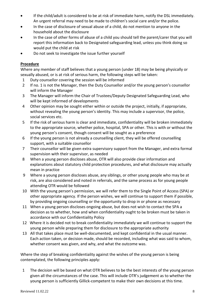- If the child/adult is considered to be at risk of immediate harm, notify the DSL immediately. An urgent referral may need to be made to children's social care and/or the police.
- In the case of disclosure of sexual abuse of a child, do not mention to anyone in the household about the disclosure
- In the case of other forms of abuse of a child you should tell the parent/carer that you will report this information back to Designated safeguarding lead, unless you think doing so would put the child at risk
- Do not seek to investigate the issue further yourself

#### **Procedure**

Where any member of staff believes that a young person (under 18) may be being physically or sexually abused, or is at risk of serious harm, the following steps will be taken:

- 1 Duty counsellor covering the session will be informed
- 2 If no. 1 is not the Manager, then the Duty Counsellor and/or the young person's counsellor will inform the Manager
- 3 The Manager will inform the Chair of Trustees/Deputy Designated Safeguarding Lead, who will be kept informed of developments
- 4 Other opinion may be sought either within or outside the project, initially, if appropriate, without revealing the young person's identity. This may include a supervisor, the police, social services etc.
- 5 If the risk of serious harm is clear and immediate, confidentiality will be broken immediately to the appropriate source, whether police, hospital, SPA or other. This is with or without the young person's consent, though consent will be sought as a preference
- 6 If the young person is not already a counselling client, they will be offered counselling support, with a suitable counsellor
- 7 Their counsellor will be given extra supervisory support from the Manager, and extra formal supervision with their supervisor, as needed
- 8 When a young person discloses abuse, OTR will also provide clear information and explanations about statutory child protection procedures, and what disclosure may actually mean in practice
- 9 Where a young person discloses abuse, any siblings, or other young people who may be at risk, are also considered and noted in referrals, and the same process as for young people attending OTR would be followed
- 10 With the young person's permission, we will refer them to the Single Point of Access (SPA) or other appropriate agency. If the person wishes, we will continue to support them if possible, by providing ongoing counselling or the opportunity to drop in or phone as necessary
- 11 When a young person discloses ongoing abuse, but does not wish to contact the SPA a decision as to whether, how and when confidentiality ought to be broken must be taken in accordance with our Confidentiality Policy
- 12 Where it is decided not to break confidentiality immediately we will continue to support the young person while preparing them for disclosure to the appropriate authority
- 13 All that takes place must be well-documented, and kept confidential in the usual manner. Each action taken, or decision made, should be recorded, including what was said to whom, whether consent was given, and why, and what the outcome was.

Where the step of breaking confidentiality against the wishes of the young person is being contemplated, the following principles apply:

 1 The decision will be based on what OTR believes to be the best interests of the young person given all the circumstances of the case. This will include OTR's judgement as to whether the young person is sufficiently Gillick-competent to make their own decisions at this time.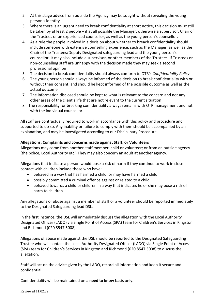- 2 At this stage advice from outside the Agency may be sought without revealing the young person's identity
- 3 Where there is an urgent need to break confidentiality at short notice, this decision *must* still be taken by at least 2 people – if at all possible the Manager, otherwise a supervisor, Chair of the Trustees or an experienced counsellor, as well as the young person's counsellor.
- 4 As a rule the people involved in a decision about whether to breach confidentiality should include someone with extensive counselling experience, such as the Manager, as well as the Chair of the Trustees/Deputy Designated safeguarding lead and the young person's counsellor. It may also include a supervisor, or other members of the Trustees. If Trustees or non-counselling staff are unhappy with the decision made they may seek a second professional opinion
- 5 The decision to break confidentiality should always conform to OTR's *Confidentiality Policy*
- 6 The young person should always be informed of the decision to break confidentiality with or without their consent, and should be kept informed of the possible outcome as well as the actual outcome
- 7 The information disclosed should be kept to what is relevant to the concern and not any other areas of the client's life that are not relevant to the current situation
- 8 The responsibility for breaking confidentiality always remains with OTR management and not with the individual counsellor.

All staff are contractually required to work in accordance with this policy and procedure and supported to do so. Any inability or failure to comply with them should be accompanied by an explanation, and may be investigated according to our Disciplinary Procedure.

#### **Allegations, Complaints and concerns made against Staff, or Volunteers**

Allegations may come from another staff member, child or volunteer; or from an outside agency (the police, Local Authority etc.) They may also concern an adult at another agency.

Allegations that indicate a person would pose a risk of harm if they continue to work in close contact with children include those who have:

- behaved in a way that has harmed a child, or may have harmed a child
- possibly committed a criminal offence against or related to a child
- behaved towards a child or children in a way that indicates he or she may pose a risk of harm to children

Any allegations of abuse against a member of staff or a volunteer should be reported immediately to the Designated Safeguarding lead DSL.

In the first instance, the DSL will immediately discuss the allegation with the Local Authority Designated Officer (LADO) via Single Point of Access (SPA) team for Children's Services in Kingston and Richmond (020 8547 5008)

Allegations of abuse made against the DSL should be reported to the Designated Safeguarding Trustee who will contact the Local Authority Designated Officer (LADO) via Single Point of Access (SPA) team for Children's Services in Kingston and Richmond (020 8547 5008) to discuss the allegation.

Staff will act on the advice given by the LADO, record all information and keep it secure and confidential.

Confidentiality will be maintained on a **need to know** basis only.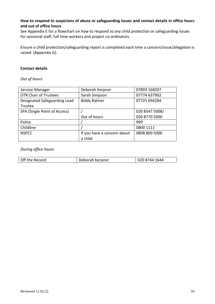#### **How to respond to suspicions of abuse or safeguarding issues and contact details in office hours and out of office hours**

See Appendix E for a flowchart on how to respond to any child protection or safeguarding issues for sessional staff, full time workers and project co-ordinators.

Ensure a child protection/safeguarding report is completed each time a concern/issue/allegation is raised. (Appendix G).

#### **Contact details**

*Out of hours*

| Service Manager              | Deborah Kerpner             | 07803 168207   |
|------------------------------|-----------------------------|----------------|
| <b>OTR Chair of Trustees</b> | Sarah Simpson               | 07774 637902   |
| Designated Safeguarding Lead | <b>Biddy Balmer</b>         | 07725 694284   |
| Trustee                      |                             |                |
| SPA (Single Point of Access) |                             | 020 8547 5008/ |
|                              | Out of hours                | 020 8770 5000  |
| Police                       |                             | 999            |
| Childline                    |                             | 0800 1111      |
| <b>NSPCC</b>                 | If you have a concern about | 0808 800 5000  |
|                              | a child                     |                |

#### *During office hours*

| Off the Record | Deborah Kerpner | 020 8744 1644 |
|----------------|-----------------|---------------|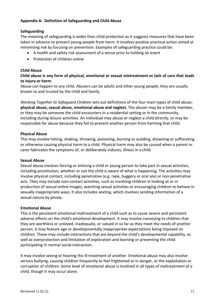#### **Appendix A: Definition of Safeguarding and Child Abuse**

#### **Safeguarding**

The meaning of safeguarding is wider than child protection as it suggests measures that have been taken in advance to prevent young people from harm. It involves positive practical action aimed at minimising risk by focusing on prevention. Examples of safeguarding practice could be:

- A health and safety risk assessment of a venue prior to holding an event
- Protection of children online

#### **Child Abuse**

**Child abuse is any form of physical, emotional or sexual mistreatment or lack of care that leads to injury or harm.**

Abuse can happen to any child. Abusers can be adults and other young people; they are usually known to and trusted by the child and family.

*Working Together to Safeguard Children* sets out definitions of the four main types of child abuse: **physical abuse, sexual abuse, emotional abuse and neglect.** The abuser may be a family member, or they may be someone the child encounters in a residential setting or in the community, including during leisure activities. An individual may abuse or neglect a child directly, or may be responsible for abuse because they fail to prevent another person from harming that child.

#### **Physical Abuse**

This may involve hitting, shaking, throwing, poisoning, burning or scalding, drowning or suffocating or otherwise causing physical harm to a child. Physical harm may also be caused when a parent or carer fabricates the symptoms of, or deliberately induces, illness in a child.

#### **Sexual Abuse**

Sexual abuse involves forcing or enticing a child or young person to take part in sexual activities, including prostitution, whether or not the child is aware of what is happening. The activities may involve physical contact, including penetrative (e.g. rape, buggery or oral sex) or non-penetrative acts. They may include non-contact activities, such as involving children in looking at or in production of sexual online images, watching sexual activities or encouraging children to behave in sexually inappropriate ways. It also includes sexting, which involves sending information of a sexual nature by phone.

#### **Emotional Abuse**

This is the persistent emotional maltreatment of a child such as to cause severe and persistent adverse effects on the child's emotional development. It may involve conveying to children that they are worthless or unloved, inadequate, or valued in so far as they meet the needs of another person. It may feature age or developmentally inappropriate expectations being imposed on children. These may include interactions that are beyond the child's developmental capability, as well as overprotection and limitation of exploration and learning or preventing the child participating in normal social interaction.

It may involve seeing or hearing the ill-treatment of another. Emotional abuse may also involve serious bullying, causing children frequently to feel frightened or in danger, or the exploitation or corruption of children. Some level of emotional abuse is involved in all types of maltreatment of a child, though it may occur alone.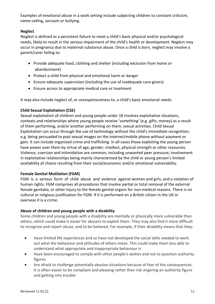Examples of emotional abuse in a work setting include subjecting children to constant criticism, name-calling, sarcasm or bullying.

#### **Neglect**

Neglect is defined as a persistent failure to meet a child's basic physical and/or psychological needs, likely to result in the serious impairment of the child's health or development. Neglect may occur in pregnancy due to maternal substance abuse. Once a child is born, neglect may involve a parent/carer failing to:

- Provide adequate food, clothing and shelter (including exclusion from home or abandonment)
- Protect a child from physical and emotional harm or danger
- Ensure adequate supervision (including the use of inadequate care-givers)
- Ensure access to appropriate medical care or treatment

It may also include neglect of, or unresponsiveness to, a child's basic emotional needs.

#### **Child Sexual Exploitation (CSE)**

Sexual exploitation of children and young people under 18 involves exploitative situations, contexts and relationships where young people receive 'something' (e.g. gifts, money) as a result of them performing, and/or another performing on them, sexual activities. Child Sexual Exploitation can occur through the use of technology without the child's immediate recognition; e.g. being persuaded to post sexual images on the internet/mobile phone without payment or gain. It can include organised crime and trafficking. In all cases those exploiting the young person have power over them by virtue of age, gender, intellect, physical strength or other resources. Violence, coercion and intimidation are common, including unwanted peer pressure; involvement in exploitative relationships being mainly characterised by the child or young person's limited availability of choice resulting from their social/economic and/or emotional vulnerability.

#### **Female Genital Mutilation (FGM)**

FGM is a serious form of child abuse and violence against women and girls, and a violation of human rights. FGM comprises all procedures that involve partial or total removal of the external female genitalia, or other injury to the female genital organs for non-medical reasons. There is no cultural or religious justification for FGM. If it is performed on a British citizen in the UK or overseas it is a crime.

#### **Abuse of children and young people with a disability**

Some children and young people with a disability are mentally or physically more vulnerable than others, which could make it easier for abusers to exploit them. They may also find it more difficult to recognise and report abuse, and to be believed. For example, if their disability means that they:

- Have limited life experiences and so have not developed the social skills needed to work out what the behaviour and attitudes of others mean. This could make them less able to understand what appropriate and inappropriate behaviour is
- Have been encouraged to comply with other people's wishes and not to question authority figures
- Are afraid to challenge potentially abusive situations because of fear of the consequences. It is often easier to be compliant and pleasing rather than risk angering an authority figure and getting into trouble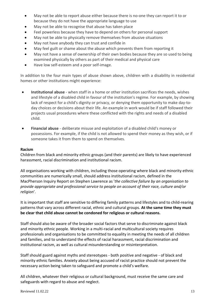- May not be able to report abuse either because there is no-one they can report it to or because they do not have the appropriate language to use
- May not be able to recognise that abuse has taken place
- Feel powerless because they have to depend on others for personal support
- May not be able to physically remove themselves from abusive situations
- May not have anybody they can trust and confide in
- May feel guilt or shame about the abuse which prevents them from reporting it
- May not have a sense of ownership of their own bodies because they are so used to being examined physically by others as part of their medical and physical care
- Have low self-esteem and a poor self-image.

In addition to the four main types of abuse shown above, children with a disability in residential homes or other institutions might experience:

- **Institutional abuse** when staff in a home or other institution sacrifices the needs, wishes and lifestyle of a disabled child in favour of the institution's regime. For example, by showing lack of respect for a child's dignity or privacy, or denying them opportunity to make day-today choices or decisions about their life. An example in work would be if staff followed their projects usual procedures where these conflicted with the rights and needs of a disabled child.
- **Financial abuse** deliberate misuse and exploitation of a disabled child's money or possessions. For example, if the child is not allowed to spend their money as they wish, or if someone takes it from them to spend on themselves.

#### **Racism**

Children from black and minority ethnic groups (and their parents) are likely to have experienced harassment, racial discrimination and institutional racism.

All organisations working with children, including those operating where black and minority ethnic communities are numerically small, should address institutional racism, defined in the MacPherson Inquiry Report on Stephen Lawrence as '*the collective failure by an organisation to provide appropriate and professional service to people on account of their race, culture and/or religion*'.

It is important that staff are sensitive to differing family patterns and lifestyles and to child-rearing patterns that vary across different racial, ethnic and cultural groups. **At the same time they must be clear that child abuse cannot be condoned for religious or cultural reasons.**

Staff should also be aware of the broader social factors that serve to discriminate against black and minority ethnic people. Working in a multi-racial and multicultural society requires professionals and organisations to be committed to equality in meeting the needs of all children and families, and to understand the effects of racial harassment, racial discrimination and institutional racism, as well as cultural misunderstanding or misinterpretation.

Staff should guard against myths and stereotypes - both positive and negative - of black and minority ethnic families. Anxiety about being accused of racist practice should not prevent the necessary action being taken to safeguard and promote a child's welfare.

All children, whatever their religious or cultural background, must receive the same care and safeguards with regard to abuse and neglect.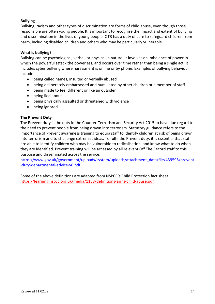#### **Bullying**

Bullying, racism and other types of discrimination are forms of child abuse, even though those responsible are often young people. It is important to recognise the impact and extent of bullying and discrimination in the lives of young people. OTR has a duty of care to safeguard children from harm, including disabled children and others who may be particularly vulnerable.

#### **What is bullying?**

Bullying can be psychological, verbal, or physical in nature. It involves an imbalance of power in which the powerful attack the powerless, and occurs over time rather than being a single act. It includes cyber bullying where harassment is online or by phone. Examples of bullying behaviour include:

- being called names, insulted or verbally abused
- being deliberately embarrassed and humiliated by other children or a member of staff
- being made to feel different or like an outsider
- being lied about
- being physically assaulted or threatened with violence
- being ignored.

#### **The Prevent Duty**

The Prevent duty is the duty in the Counter-Terrorism and Security Act 2015 to have due regard to the need to prevent people from being drawn into terrorism. Statutory guidance refers to the importance of Prevent awareness training to equip staff to identify children at risk of being drawn into terrorism and to challenge extremist ideas. To fulfil the Prevent duty, it is essential that staff are able to identify children who may be vulnerable to radicalisation, and know what to do when they are identified. Prevent training will be accessed by all relevant Off The Record staff to this purpose and disseminated across the service.

[https://www.gov.uk/government/uploads/system/uploads/attachment\\_data/file/439598/prevent](https://www.gov.uk/government/uploads/system/uploads/attachment_data/file/439598/prevent-duty-departmental-advice-v6.pdf) [-duty-departmental-advice-v6.pdf](https://www.gov.uk/government/uploads/system/uploads/attachment_data/file/439598/prevent-duty-departmental-advice-v6.pdf)

Some of the above definitions are adapted from NSPCC's Child Protection fact sheet: <https://learning.nspcc.org.uk/media/1188/definitions-signs-child-abuse.pdf>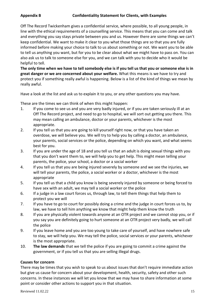Off The Record Twickenham gives a confidential service, where possible, to all young people, in line with the ethical requirements of a counselling service. This means that you can come and talk and everything you say stays private between you and us. However there are some things we can't keep confidential. We want to make it clear to you what those things are so that you are fully informed before making your choice to talk to us about something or not. We want you to be able to tell us anything you want, but for you to be clear about what we might have to pass on. You can also ask us to talk to someone else for you, and we can talk with you to decide who it would be helpful to tell.

**The only time when we have to tell somebody else is if you tell us that you or someone else is in great danger or we are concerned about your welfare.** What this means is we have to try and protect you if something really awful is happening. Below is a list of the kind of things we mean by really awful.

Have a look at the list and ask us to explain it to you, or any other questions you may have.

These are the times we can think of when this might happen:

- 1. If you come to see us and you are very badly injured, or if you are taken seriously ill at an Off The Record project, and need to go to hospital, we will sort out getting you there. This may mean calling an ambulance, doctor or your parents, whichever is the most appropriate.
- 2. If you tell us that you are going to kill yourself right now, or that you have taken an overdose, we will believe you. We will try to help you by calling a doctor, an ambulance, your parents, social services or the police, depending on which you want, and what seems best for you.
- 3. If you are under the age of 18 and you tell us that an adult is doing sexual things with you that you don't want them to, we will help you to get help. This might mean telling your parents, the police, your school, a doctor or a social worker
- 4. If you tell us that you are being injured severely by someone and we see the injuries, we will tell your parents, the police, a social worker or a doctor, whichever is the most appropriate
- 5. If you tell us that a child you know is being severely injured by someone or being forced to have sex with an adult, we may tell a social worker or the police
- 6. If a judge in a law court forces us, through law, to tell them things that help them to protect you we will
- 7. If you have to go to court for possibly doing a crime and the judge in court forces us to, by law, we have to tell him anything we know that might help them know the truth
- 8. If you are physically violent towards anyone at an OTR project and we cannot stop you, or if you say you are definitely going to hurt someone at an OTR project very badly, we will call the police
- 9. If you leave home and you are too young to take care of yourself, and have nowhere safe to stay, we will help you. We may tell the police, social services or your parents, whichever is the most appropriate.
- 10. **The law demands** that we tell the police if you are going to commit a crime against the government, or if you tell us that you are selling illegal drugs.

#### **Causes for concern**

There may be times that you wish to speak to us about issues that don't require immediate action but give us cause for concern about your development, health, security, safety and other such concerns. In these instances we will let you know that we may have to share information at some point or consider other actions to support you in that situation.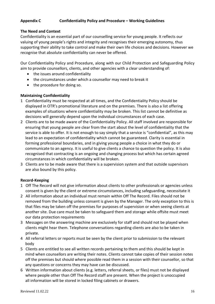#### **Appendix C Confidentiality Policy and Procedure – Working Guidelines**

#### **The Need and Context**

Confidentiality is an essential part of our counselling service for young people. It reflects our valuing of young people's rights and integrity and recognises their emerging autonomy, thus supporting their ability to take control and make their own life choices and decisions. However we recognise that absolute confidentiality can never be offered.

Our Confidentiality Policy and Procedure, along with our Child Protection and Safeguarding Policy aim to provide counsellors, clients, and other agencies with a clear understanding of:

- the issues around confidentiality
- the circumstances under which a counsellor may need to break it
- the procedure for doing so.

#### **Maintaining Confidentiality**

- 1 Confidentiality must be respected at all times, and the Confidentiality Policy should be displayed in OTR's promotional literature and on the premises. There is also a list offering examples of situations where confidentiality may be broken. This list cannot be definitive as decisions will generally depend upon the individual circumstances of each case.
- 2 Clients are to be made aware of the Confidentiality Policy. All staff involved are responsible for ensuring that young people are clear from the start about the level of confidentiality that the service is able to offer. It is not enough to say simply that a service is "confidential", as this may lead to an expectation of confidentiality which cannot be guaranteed. Clarity is essential in forming professional boundaries, and in giving young people a choice in what they do or communicate to an agency. It is useful to give clients a chance to question the policy. It is also recognised that contracting is an ongoing and changing process but which has certain agreed circumstances in which confidentiality will be broken.
- 3 Clients are to be made aware that there is a supervision system and that outside supervisors are also bound by this policy.

#### **Record-Keeping**

- 1 Off The Record will not give information about clients to other professionals or agencies unless consent is given by the client or extreme circumstances, including safeguarding, necessitate it
- 2 All information about an individual must remain within Off The Record. Files should not be removed from the building unless consent is given by the Manager. The only exception to this is that files may be taken off the premises for purposes of supervision or when seeing clients at another site. Due care must be taken to safeguard them and storage while offsite must meet our data protection requirements
- 3 Messages on the answering machine are exclusively for staff and should not be played when clients might hear them. Telephone conversations regarding clients are also to be taken in private.
- 4 All referral letters or reports must be seen by the client prior to submission to the relevant body
- 5 Clients are entitled to see all written records pertaining to them and this should be kept in mind when counsellors are writing their notes. Clients cannot take copies of their session notes off the premises but should where possible read them in a session with their counsellor, so that any questions or concerns they may have can be discussed.
- 6 Written information about clients (e.g. letters, referral sheets, or files) must not be displayed where people other than Off The Record staff are present. When the project is unoccupied all information will be stored in locked filing cabinets or drawers.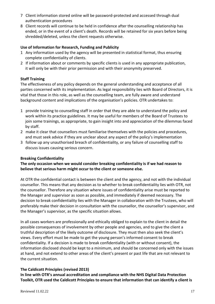- 7 Client information stored online will be password-protected and accessed through dual authentication procedures
- 8 Client records will continue to be held in confidence after the counselling relationship has ended, or in the event of a client's death. Records will be retained for six years before being shredded/deleted, unless the client requests otherwise.

#### **Use of Information for Research, Funding and Publicity**

- 1 Any information used by the agency will be presented in statistical format, thus ensuring complete confidentiality of clients.
- 2 If information about or comments by specific clients is used in any appropriate publication, it will only be with their prior permission and with their anonymity preserved.

#### **Staff Training**

The effectiveness of any policy depends on the general understanding and acceptance of all parties concerned with its implementation. As legal responsibility lies with Board of Directors, it is vital that those in this role, as well as the counselling team, are fully aware and understand background content and implications of the organisation's policies. OTR undertakes to:

- 1 provide training to counselling staff in order that they are able to understand the policy and work within its practice guidelines. It may be useful for members of the Board of Trustees to join some trainings, as appropriate, to gain insight into and appreciation of the dilemmas faced by staff.
- 2 make it clear that counsellors must familiarise themselves with the policies and procedures, and must seek advice if they are unclear about any aspect of the policy's implementation
- 3 follow up any unauthorised breach of confidentiality, or any failure of counselling staff to discuss issues causing serious concern.

#### **Breaking Confidentiality**

**The only occasion when we would consider breaking confidentiality is if we had reason to believe that serious harm might occur to the client or someone else.**

At OTR the confidential contact is between the client and the agency, and not with the individual counsellor. This means that any decision as to whether to break confidentiality lies with OTR, not the counsellor. Therefore any situation where issues of confidentiality arise must be reported to the Manager and supervisor as soon as possible, and immediately if deemed necessary. The decision to break confidentiality lies with the Manager in collaboration with the Trustees, who will preferably make their decision in consultation with the counsellor, the counsellor's supervisor, and the Manager's supervisor, as the specific situation allows.

In all cases workers are professionally and ethically obliged to explain to the client in detail the possible consequences of involvement by other people and agencies, and to give the client a truthful description of the likely outcome of disclosure. They must then also seek the client's views. Every effort must be made to get the young person's informed consent to break confidentiality. If a decision is made to break confidentiality (with or without consent), the information disclosed should be kept to a minimum, and should be concerned only with the issues at hand, and not extend to other areas of the client's present or past life that are not relevant to the current situation.

#### **The Caldicott Principles (revised 2013)**

**In line with OTR's annual accreditation and compliance with the NHS Digital Data Protection Toolkit, OTR used the Caldicott Principles to ensure that information that can identify a client is**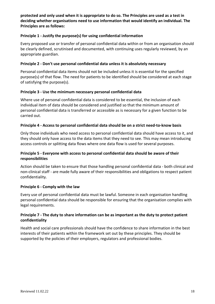**protected and only used when it is appropriate to do so. The Principles are used as a test in deciding whether organisations need to use information that would identify an individual. The Principles are as follows:**

#### **Principle 1 - Justify the purpose(s) for using confidential information**

Every proposed use or transfer of personal confidential data within or from an organisation should be clearly defined, scrutinised and documented, with continuing uses regularly reviewed, by an appropriate guardian.

#### **Principle 2 - Don't use personal confidential data unless it is absolutely necessary**

Personal confidential data items should not be included unless it is essential for the specified purpose(s) of that flow. The need for patients to be identified should be considered at each stage of satisfying the purpose(s).

#### **Principle 3 - Use the minimum necessary personal confidential data**

Where use of personal confidential data is considered to be essential, the inclusion of each individual item of data should be considered and justified so that the minimum amount of personal confidential data is transferred or accessible as is necessary for a given function to be carried out.

#### **Principle 4 - Access to personal confidential data should be on a strict need-to-know basis**

Only those individuals who need access to personal confidential data should have access to it, and they should only have access to the data items that they need to see. This may mean introducing access controls or splitting data flows where one data flow is used for several purposes.

#### **Principle 5 - Everyone with access to personal confidential data should be aware of their responsibilities**

Action should be taken to ensure that those handling personal confidential data - both clinical and non-clinical staff - are made fully aware of their responsibilities and obligations to respect patient confidentiality.

#### **Principle 6 - Comply with the law**

Every use of personal confidential data must be lawful. Someone in each organisation handling personal confidential data should be responsible for ensuring that the organisation complies with legal requirements.

#### **Principle 7 - The duty to share information can be as important as the duty to protect patient confidentiality**

Health and social care professionals should have the confidence to share information in the best interests of their patients within the framework set out by these principles. They should be supported by the policies of their employers, regulators and professional bodies.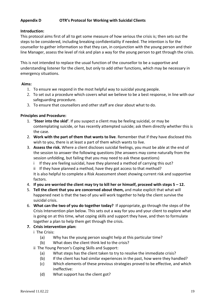#### **Appendix D OTR's Protocol for Working with Suicidal Clients**

#### **Introduction:**

This protocol aims first of all to get some measure of how serious the crisis is; then sets out the steps to be considered, including breaking confidentiality if needed. The intention is for the counsellor to gather information so that they can, in conjunction with the young person and their line Manager, assess the level of risk and plan a way for the young person to get through the crisis.

This is not intended to replace the usual function of the counsellor to be a supportive and understanding listener for the client, but only to add other functions, which may be necessary in emergency situations.

#### **Aims:**

- 1. To ensure we respond in the most helpful way to suicidal young people.
- 2. To set out a procedure which covers what we believe to be a best response, in line with our safeguarding procedure.
- 3. To ensure that counsellors and other staff are clear about what to do.

#### **Principles and Procedure:**

- 1. **'Steer into the skid'**. If you suspect a client may be feeling suicidal, or may be contemplating suicide, or has recently attempted suicide; ask them directly whether this is the case.
- 2. **Work with the part of them that wants to live**. Remember that if they have disclosed this wish to you, there is at least a part of them which wants to live.
- 3. **Assess the risk.** Where a client discloses suicidal feelings, you must be able at the end of the session to answer the following questions (the answers may come naturally from the session unfolding, but failing that you may need to ask these questions)
	- i If they are feeling suicidal, have they planned a method of carrying this out?
	- ii If they have planned a method, have they got access to that method?

It is also helpful to complete a Risk Assessment sheet showing current risk and supportive factors.

- 4. **If you are worried the client may try to kill her or himself, proceed with steps 5 – 12.**
- 5. **Tell the client that you are concerned about them,** and make explicit that what will happened next is that the two of you will work together to help the client survive the suicidal crisis.
- 6. **What can the two of you do together today?** If appropriate, go through the steps of the Crisis Intervention plan below. This sets out a way for you and your client to explore what is going on at this time, what coping skills and support they have, and then to formulate together a plan to help them get through the crisis.

#### **7. Crisis intervention plan:**

- i The Crisis:
	- (a) Why has the young person sought help at this particular time?
	- (b) What does the client think led to the crisis?
- ii The Young Person's Coping Skills and Support:
	- (a) What steps has the client taken to try to resolve the immediate crisis?
	- (b) If the client has had similar experiences in the past, how were they handled?
	- (c) Which elements of these previous strategies proved to be effective, and which ineffective:
	- (d) What support has the client got?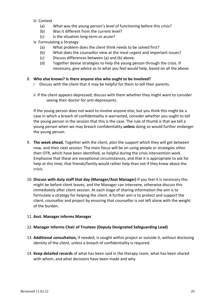iii Context

- (a) What was the young person's level of functioning before this crisis?
- (b) Was it different from the current level?
- (c) Is the situation long-term or acute?
- iv Formulating a Strategy
	- (a) What problem does the client think needs to be solved first?
	- (b) What does the counsellor view at the most urgent and important issues?
	- (c) Discuss differences between (a) and (b) above.
	- (d) Together devise strategies to help the young person through the crisis. If necessary, give advice as to what you feel would help, based on all the above.

#### 8. **Who else knows? Is there anyone else who ought to be involved?**

- i Discuss with the client that it may be helpful for them to tell their parents.
- ii If the client appears depressed; discuss with them whether they might want to consider seeing their doctor for anti-depressants.

If the young person does not want to involve anyone else, but you think this might be a case in which a breach of confidentiality is warranted, consider whether you ought to tell the young person in the session that this is the case. The rule of thumb is that we tell a young person when we may breach confidentiality **unless** doing so would further endanger the young person.

- 9. **The week ahead.** Together with the client, plan the support which they will get between now, and their next session. The main focus will be on using people or strategies other then OTR, which have been identified, as helpful during the crisis intervention work. Emphasise that these are exceptional circumstances, and that it is appropriate to ask for help at this time; that friends/family would rather help than not if they knew about the crisis.
- 10. **Discuss with duty staff that day (Manager/Asst Manager)** If you feel it is necessary this might be before client leaves, and the Manager can intervene, otherwise discuss this immediately after client session. At each stage of sharing information the aim is to formulate a strategy for helping the client. A further aim is to protect and support the client, counsellor and project by ensuring that counsellor is not left alone with the weight of the burden.

#### 11. **Asst. Manager informs Manager**

#### 12. **Manager informs Chair of Trustees (Deputy Designated Safeguarding Lead)**

- 13. **Additional consultation,** if needed, is sought within project or outside it, without disclosing identity of the client, unless a breach of confidentiality is required.
- 14. **Keep detailed records** of what has been said in the therapy room, what has been shared with whom, and what decisions have been made and why.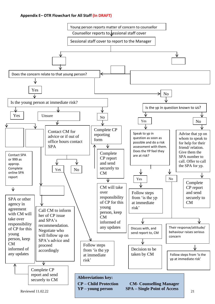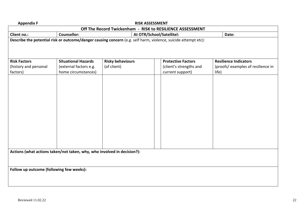| <b>Appendix F</b>                                                       |                            | <b>RISK ASSESSMENT</b>                                                                                         |                           |                                   |
|-------------------------------------------------------------------------|----------------------------|----------------------------------------------------------------------------------------------------------------|---------------------------|-----------------------------------|
|                                                                         |                            | Off The Record Twickenham - RISK to RESILIENCE ASSESSMENT                                                      |                           |                                   |
| Client no.:                                                             | <b>Counsellor:</b>         | At OTR/School/Satellitel:                                                                                      |                           | Date:                             |
|                                                                         |                            | Describe the potential risk or outcome/danger causing concern (e.g. self harm, violence, suicide attempt etc): |                           |                                   |
|                                                                         |                            |                                                                                                                |                           |                                   |
|                                                                         |                            |                                                                                                                |                           |                                   |
| <b>Risk Factors</b>                                                     | <b>Situational Hazards</b> | <b>Risky behaviours</b>                                                                                        | <b>Protective Factors</b> | <b>Resilience Indicators</b>      |
| (history and personal                                                   | (external factors e.g.     | (of client)                                                                                                    | (client's strengths and   | (proofs/examples of resilience in |
| factors)                                                                | home circumstances)        |                                                                                                                | current support)          | life)                             |
|                                                                         |                            |                                                                                                                |                           |                                   |
|                                                                         |                            |                                                                                                                |                           |                                   |
|                                                                         |                            |                                                                                                                |                           |                                   |
|                                                                         |                            |                                                                                                                |                           |                                   |
|                                                                         |                            |                                                                                                                |                           |                                   |
|                                                                         |                            |                                                                                                                |                           |                                   |
|                                                                         |                            |                                                                                                                |                           |                                   |
|                                                                         |                            |                                                                                                                |                           |                                   |
|                                                                         |                            |                                                                                                                |                           |                                   |
|                                                                         |                            |                                                                                                                |                           |                                   |
|                                                                         |                            |                                                                                                                |                           |                                   |
|                                                                         |                            |                                                                                                                |                           |                                   |
|                                                                         |                            |                                                                                                                |                           |                                   |
|                                                                         |                            |                                                                                                                |                           |                                   |
| Actions (what actions taken/not taken, why, who involved in decision?): |                            |                                                                                                                |                           |                                   |
|                                                                         |                            |                                                                                                                |                           |                                   |
|                                                                         |                            |                                                                                                                |                           |                                   |
| Follow up outcome (following few weeks):                                |                            |                                                                                                                |                           |                                   |
|                                                                         |                            |                                                                                                                |                           |                                   |
|                                                                         |                            |                                                                                                                |                           |                                   |
|                                                                         |                            |                                                                                                                |                           |                                   |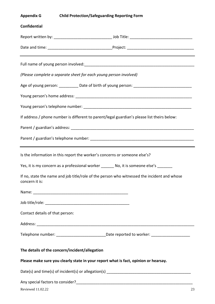| Appendix G | <b>Child Protection/Safeguarding Reporting Form</b> |
|------------|-----------------------------------------------------|
|            |                                                     |

# **Confidential** Report written by: \_\_\_\_\_\_\_\_\_\_\_\_\_\_\_\_\_\_\_\_\_\_\_\_\_\_\_ Job Title: \_\_\_\_\_\_\_\_\_\_\_\_\_\_\_\_\_\_\_\_\_\_\_\_\_\_\_\_\_ Date and time: example are set of the Project:  $\blacksquare$ Full name of young person involved:  $\Box$ *(Please complete a separate sheet for each young person involved)* Age of young person: example of birth of young person:  $\Box$ Young person's home address: **We are also assumed as a set of the set of the set of the set of the set of the set of the set of the set of the set of the set of the set of the set of the set of the set of the set of the se** Young person's telephone number: \_\_\_\_\_\_\_\_\_\_\_\_\_\_\_\_\_\_\_\_\_\_\_\_\_\_\_\_\_\_\_\_\_\_\_\_\_\_\_\_\_\_\_\_\_\_\_\_\_\_ If address / phone number is different to parent/legal guardian's please list theirs below: Parent / guardian's address: Parent / guardian's telephone number: **with a set of the set of the set of the set of the set of the set of the set of the set of the set of the set of the set of the set of the set of the set of the set of the set of the** Is the information in this report the worker's concerns or someone else's? Yes, it is my concern as a professional worker No, it is someone else's If no, state the name and job title/role of the person who witnessed the incident and whose concern it is: Name:  $\blacksquare$ Job title/role: \_\_\_\_\_\_\_\_\_\_\_\_\_\_\_\_\_\_\_\_\_\_\_\_\_\_\_\_\_\_\_\_\_\_\_\_\_\_\_ Contact details of that person: Address: \_\_\_\_\_\_\_\_\_\_\_\_\_\_\_\_\_\_\_\_\_\_\_\_\_\_\_\_\_\_\_\_\_\_\_\_\_\_\_\_\_\_\_\_\_\_\_\_\_\_\_\_\_\_\_\_\_\_\_\_\_\_\_\_\_\_\_\_\_\_\_\_\_ Telephone number: \_\_\_\_\_\_\_\_\_\_\_\_\_\_\_\_\_\_\_\_\_\_\_Date reported to worker: \_\_\_\_\_\_\_\_\_\_\_\_\_\_\_\_\_\_ **The details of the concern/incident/allegation Please make sure you clearly state in your report what is fact, opinion or hearsay.** Date(s) and time(s) of incident(s) or allegation(s) Any special factors to consider? The state of the state of the state of the state of the state of the state of the state of the state of the state of the state of the state of the state of the state of the state of the sta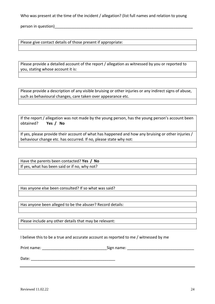Who was present at the time of the incident / allegation? (list full names and relation to young

person in question)

Please give contact details of those present if appropriate:

Please provide a detailed account of the report / allegation as witnessed by you or reported to you, stating whose account it is:

Please provide a description of any visible bruising or other injuries or any indirect signs of abuse, such as behavioural changes, care taken over appearance etc.

If the report / allegation was not made by the young person, has the young person's account been obtained? **Yes / No** 

If yes, please provide their account of what has happened and how any bruising or other injuries / behaviour change etc. has occurred. If no, please state why not:

Have the parents been contacted? **Yes / No** If yes, what has been said or if no, why not?

Has anyone else been consulted? If so what was said?

Has anyone been alleged to be the abuser? Record details:

Please include any other details that may be relevant:

I believe this to be a true and accurate account as reported to me / witnessed by me

Print name: \_\_\_\_\_\_\_\_\_\_\_\_\_\_\_\_\_\_\_\_\_\_\_\_\_\_\_\_\_\_Sign name: \_\_\_\_\_\_\_\_\_\_\_\_\_\_\_\_\_\_\_\_\_\_\_\_\_\_\_\_\_\_\_

Date:  $\Box$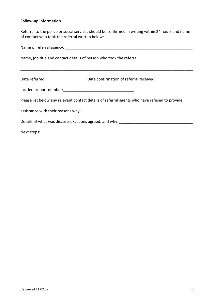#### **Follow-up information**

Referral to the police or social services should be confirmed in writing within 24 hours and name of contact who took the referral written below:

| Name, job title and contact details of person who took the referral:                          |  |  |
|-----------------------------------------------------------------------------------------------|--|--|
|                                                                                               |  |  |
|                                                                                               |  |  |
|                                                                                               |  |  |
| Please list below any relevant contact details of referral agents who have refused to provide |  |  |
|                                                                                               |  |  |
|                                                                                               |  |  |
|                                                                                               |  |  |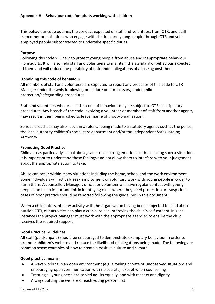This behaviour code outlines the conduct expected of staff and volunteers from OTR, and staff from other organisations who engage with children and young people through OTR and selfemployed people subcontracted to undertake specific duties.

#### **Purpose**

Following this code will help to protect young people from abuse and inappropriate behaviour from adults. It will also help staff and volunteers to maintain the standard of behaviour expected of them and will reduce the possibility of unfounded allegations of abuse against them.

#### **Upholding this code of behaviour**

All members of staff and volunteers are expected to report any breaches of this code to OTR Manager under the whistle-blowing procedure or, if necessary, under child protection/safeguarding procedures.

Staff and volunteers who breach this code of behaviour may be subject to OTR's disciplinary procedures. Any breach of the code involving a volunteer or member of staff from another agency may result in them being asked to leave (name of group/organisation).

Serious breaches may also result in a referral being made to a statutory agency such as the police, the local authority children's social care department and/or the Independent Safeguarding Authority.

#### **Promoting Good Practice**

Child abuse, particularly sexual abuse, can arouse strong emotions in those facing such a situation. It is important to understand these feelings and not allow them to interfere with your judgement about the appropriate action to take.

Abuse can occur within many situations including the home, school and the work environment. Some individuals will actively seek employment or voluntary work with young people in order to harm them. A counsellor, Manager, official or volunteer will have regular contact with young people and be an important link in identifying cases where they need protection. All suspicious cases of poor practice should be reported following the guidelines in this document.

When a child enters into any activity with the organisation having been subjected to child abuse outside OTR, our activities can play a crucial role in improving the child's self-esteem. In such instances the project Manager must work with the appropriate agencies to ensure the child receives the required support.

#### **Good Practice Guidelines**

All staff (paid/unpaid) should be encouraged to demonstrate exemplary behaviour in order to promote children's welfare and reduce the likelihood of allegations being made. The following are common sense examples of how to create a positive culture and climate.

#### **Good practice means:**

- Always working in an open environment (e.g. avoiding private or unobserved situations and encouraging open communication with no secrets), except when counselling
- Treating all young people/disabled adults equally, and with respect and dignity
- Always putting the welfare of each young person first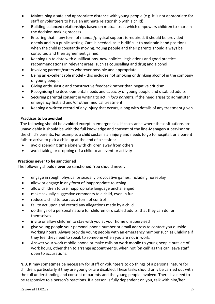- Maintaining a safe and appropriate distance with young people (e.g. it is not appropriate for staff or volunteers to have an intimate relationship with a child)
- Building balanced relationships based on mutual trust which empowers children to share in the decision-making process
- Ensuring that if any form of manual/physical support is required, it should be provided openly and in a public setting. Care is needed, as it is difficult to maintain hand positions when the child is constantly moving. Young people and their parents should always be consulted and their agreement gained.
- Keeping up to date with qualifications, new policies, legislations and good practice recommendations in relevant areas, such as counselling and drug and alcohol
- Involving parents/carers wherever possible and appropriate
- Being an excellent role model this includes not smoking or drinking alcohol in the company of young people
- Giving enthusiastic and constructive feedback rather than negative criticism
- Recognising the developmental needs and capacity of young people and disabled adults
- Securing parental consent in writing to act *in loco parentis*, if the need arises to administer emergency first aid and/or other medical treatment
- Keeping a written record of any injury that occurs, along with details of any treatment given.

#### **Practices to be avoided**

The following should be **avoided** except in emergencies. If cases arise where these situations are unavoidable it should be with the full knowledge and consent of the line-Manager/supervisor or the child's parents. For example, a child sustains an injury and needs to go to hospital, or a parent fails to arrive to pick a child up at the end of a session:

- avoid spending time alone with children away from others
- avoid taking or dropping off a child to an event or activity

#### **Practices never to be sanctioned**

The following should **never** be sanctioned. You should never:

- engage in rough, physical or sexually provocative games, including horseplay
- allow or engage in any form of inappropriate touching
- allow children to use inappropriate language unchallenged
- make sexually suggestive comments to a child, even in fun
- reduce a child to tears as a form of control
- fail to act upon and record any allegations made by a child
- do things of a personal nature for children or disabled adults, that they can do for themselves
- invite or allow children to stay with you at your home unsupervised
- give young people your personal phone number or email address to contact you outside working hours. Always provide young people with an emergency number such as Childline if they feel they need to speak to someone when you are not in work.
- Answer your work mobile phone or make calls on work mobile to young people outside of work hours, other than to arrange appointments, when not 'on call' as this can leave staff open to accusations.

**N.B.** It may sometimes be necessary for staff or volunteers to do things of a personal nature for children, particularly if they are young or are disabled. These tasks should only be carried out with the full understanding and consent of parents and the young people involved. There is a need to be responsive to a person's reactions. If a person is fully dependent on you, talk with him/her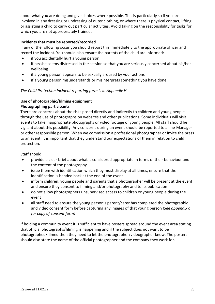about what you are doing and give choices where possible. This is particularly so if you are involved in any dressing or undressing of outer clothing, or where there is physical contact, lifting or assisting a child to carry out particular activities. Avoid taking on the responsibility for tasks for which you are not appropriately trained.

#### **Incidents that must be reported/recorded**

If any of the following occur you should report this immediately to the appropriate officer and record the incident. You should also ensure the parents of the child are informed:

- if you accidentally hurt a young person
- if he/she seems distressed in the session so that you are seriously concerned about his/her wellbeing
- if a young person appears to be sexually aroused by your actions
- if a young person misunderstands or misinterprets something you have done.

#### *The Child Protection Incident reporting form is in Appendix H*

### **Use of photographic/filming equipment**

#### **Photographing participants**

There are concerns about the risks posed directly and indirectly to children and young people through the use of photographs on websites and other publications. Some individuals will visit events to take inappropriate photographs or video footage of young people. All staff should be vigilant about this possibility. Any concerns during an event should be reported to a line-Manager or other responsible person. When we commission a professional photographer or invite the press to an event, it is important that they understand our expectations of them in relation to child protection.

Staff should:

- provide a clear brief about what is considered appropriate in terms of their behaviour and the content of the photography
- issue them with identification which they must display at all times, ensure that the identification is handed back at the end of the event
- inform children, young people and parents that a photographer will be present at the event and ensure they consent to filming and/or photography and to its publication
- do not allow photographers unsupervised access to children or young people during the event
- all staff need to ensure the young person's parent/carer has completed the photographic and video consent form before capturing any images of that young person *(See appendix c for copy of consent form)*

If holding a community event it is sufficient to have posters spread around the event area stating that official photographs/filming is happening and if the subject does not want to be photographed/filmed then they need to let the photographer/videographer know. The posters should also state the name of the official photographer and the company they work for.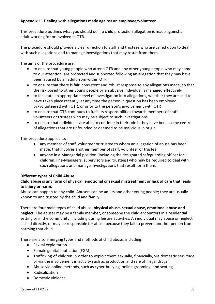#### **Appendix I – Dealing with allegations made against an employee/volunteer**

This procedure outlines what you should do if a child protection allegation is made against an adult working for or involved in OTR.

The procedure should provide a clear direction to staff and trustees who are called upon to deal with such allegations and to manage investigations that may result from them.

The aims of the procedure are:

- to ensure that young people who attend OTR and any other young people who may come to our attention, are protected and supported following an allegation that they may have been abused by an adult from within OTR
- to ensure that there is fair, consistent and robust response to any allegations made, so that the risk posed to other young people by an abusive individual is managed effectively
- to facilitate an appropriate level of investigation into allegations, whether they are said to have taken place recently, at any time the person in question has been employed by/volunteered with OTR, or prior to the person's involvement with OTR
- to ensure that OTR continues to fulfil its responsibilities towards members of staff, volunteers or trustees who may be subject to such investigations
- to ensure that individuals are able to continue in their role if they have been at the centre of allegations that are unfounded or deemed to be malicious in origin

This procedure applies to:

- any member of staff, volunteer or trustee to whom an allegation of abuse has been made, that involves another member of staff, volunteer or trustee
- anyone in a Managerial position (including the designated safeguarding officer for children, line-Managers, supervisors and trustees) who may be required to deal with such allegations and manage investigations that result form them.

#### **Different types of Child Abuse**

#### **Child abuse is any form of physical, emotional or sexual mistreatment or lack of care that leads to injury or harm.**

Abuse can happen to any child. Abusers can be adults and other young people; they are usually known to and trusted by the child and family.

There are four main types of child abuse: **physical abuse, sexual abuse, emotional abuse and neglect.** The abuser may be a family member, or someone the child encounters in a residential setting or in the community, including during leisure activities. An individual may abuse or neglect a child directly, or may be responsible for abuse because they fail to prevent another person from harming that child.

There are also emerging types and methods of child abuse, including:

- Sexual exploitation
- Female genital mutilation (FGM)
- Trafficking of children in order to exploit them sexually, financially, via domestic servitude or via the involvement in activity such as production and sale of illegal drugs
- Abuse via online methods, such as cyber-bullying, online grooming, and sexting
- Radicalization
- Domestic violence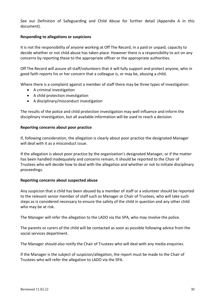See our Definition of Safeguarding and Child Abuse for further detail (Appendix A in this document).

#### **Responding to allegations or suspicions**

It is not the responsibility of anyone working at Off The Record, in a paid or unpaid, capacity to decide whether or not child abuse has taken place. However there is a responsibility to act on any concerns by reporting these to the appropriate officer or the appropriate authorities.

Off The Record will assure all staff/volunteers that it will fully support and protect anyone, who in good faith reports his or her concern that a colleague is, or may be, abusing a child.

Where there is a complaint against a member of staff there may be three types of investigation:

- A criminal investigation
- A child protection investigation
- A disciplinary/misconduct investigation

The results of the police and child protection investigation may well influence and inform the disciplinary investigation, but all available information will be used to reach a decision.

#### **Reporting concerns about poor practice**

If, following consideration, the allegation is clearly about poor practice the designated Manager will deal with it as a misconduct issue.

If the allegation is about poor practice by the organisation's designated Manager, or if the matter has been handled inadequately and concerns remain, it should be reported to the Chair of Trustees who will decide how to deal with the allegation and whether or not to initiate disciplinary proceedings.

#### **Reporting concerns about suspected abuse**

Any suspicion that a child has been abused by a member of staff or a volunteer should be reported to the relevant senior member of staff such as Manager or Chair of Trustees, who will take such steps as is considered necessary to ensure the safety of the child in question and any other child who may be at risk.

The Manager will refer the allegation to the LADO via the SPA, who may involve the police.

The parents or carers of the child will be contacted as soon as possible following advice from the social services department.

The Manager should also notify the Chair of Trustees who will deal with any media enquiries.

If the Manager is the subject of suspicion/allegation, the report must be made to the Chair of Trustees who will refer the allegation to LADO via the SPA.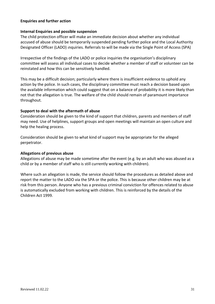#### **Enquiries and further action**

#### **Internal Enquiries and possible suspension**

The child protection officer will make an immediate decision about whether any individual accused of abuse should be temporarily suspended pending further police and the Local Authority Designated Officer (LADO) inquiries. Referrals to will be made via the Single Point of Access (SPA)

Irrespective of the findings of the LADO or police inquiries the organisation's disciplinary committee will assess all individual cases to decide whether a member of staff or volunteer can be reinstated and how this can be sensitively handled.

This may be a difficult decision; particularly where there is insufficient evidence to uphold any action by the police. In such cases, the disciplinary committee must reach a decision based upon the available information which could suggest that on a balance of probability it is more likely than not that the allegation is true. The welfare of the child should remain of paramount importance throughout.

#### **Support to deal with the aftermath of abuse**

Consideration should be given to the kind of support that children, parents and members of staff may need. Use of helplines, support groups and open meetings will maintain an open culture and help the healing process.

Consideration should be given to what kind of support may be appropriate for the alleged perpetrator.

#### **Allegations of previous abuse**

Allegations of abuse may be made sometime after the event (e.g. by an adult who was abused as a child or by a member of staff who is still currently working with children).

Where such an allegation is made, the service should follow the procedures as detailed above and report the matter to the LADO via the SPA or the police. This is because other children may be at risk from this person. Anyone who has a previous criminal conviction for offences related to abuse is automatically excluded from working with children. This is reinforced by the details of the Children Act 1999.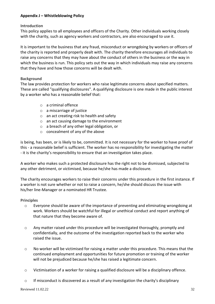#### **Appendix J – Whistleblowing Policy**

#### **Introduction**

This policy applies to all employees and officers of the Charity. Other individuals working closely with the charity, such as agency workers and contractors, are also encouraged to use it.

It is important to the business that any fraud, misconduct or wrongdoing by workers or officers of the charity is reported and properly dealt with. The charity therefore encourages all individuals to raise any concerns that they may have about the conduct of others in the business or the way in which the business is run. This policy sets out the way in which individuals may raise any concerns that they have and how those concerns will be dealt with.

#### **Background**

The law provides protection for workers who raise legitimate concerns about specified matters. These are called "qualifying disclosures". A qualifying disclosure is one made in the public interest by a worker who has a reasonable belief that:

- o a criminal offence
- $\circ$  a miscarriage of justice
- o an act creating risk to health and safety
- o an act causing damage to the environment
- o a breach of any other legal obligation, or
- o concealment of any of the above

is being, has been, or is likely to be, committed. It is not necessary for the worker to have proof of this - a reasonable belief is sufficient. The worker has no responsibility for investigating the matter - it is the charity's responsibility to ensure that an investigation takes place.

A worker who makes such a protected disclosure has the right not to be dismissed, subjected to any other detriment, or victimised, because he/she has made a disclosure.

The charity encourages workers to raise their concerns under this procedure in the first instance. If a worker is not sure whether or not to raise a concern, he/she should discuss the issue with his/her line-Manager or a nominated HR Trustee.

#### **Principles**

- o Everyone should be aware of the importance of preventing and eliminating wrongdoing at work. Workers should be watchful for illegal or unethical conduct and report anything of that nature that they become aware of.
- $\circ$  Any matter raised under this procedure will be investigated thoroughly, promptly and confidentially, and the outcome of the investigation reported back to the worker who raised the issue.
- o No worker will be victimised for raising a matter under this procedure. This means that the continued employment and opportunities for future promotion or training of the worker will not be prejudiced because he/she has raised a legitimate concern.
- o Victimisation of a worker for raising a qualified disclosure will be a disciplinary offence.
- o If misconduct is discovered as a result of any investigation the charity's disciplinary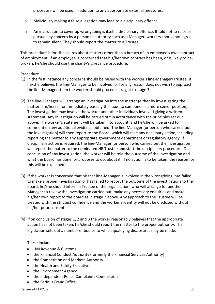procedure will be used, in addition to any appropriate external measures.

- o Maliciously making a false allegation may lead to a disciplinary offence.
- o An instruction to cover up wrongdoing is itself a disciplinary offence. If told not to raise or pursue any concern by a person in authority such as a Manager, workers should not agree to remain silent. They should report the matter to a Trustee.

This procedure is for disclosures about matters other than a breach of an employee's own contract of employment. If an employee is concerned that his/her own contract has been, or is likely to be, broken, he/she should use the charity's grievance procedure.

#### **Procedure**

- (1) In the first instance any concerns should be raised with the worker's line-Manager/Trustee. If he/she believes the line-Manager to be involved, or for any reason does not wish to approach the line-Manager, then the worker should proceed straight to stage 3.
- (2) The line-Manager will arrange an investigation into the matter (either by investigating the matter him/herself or immediately passing the issue to someone in a more senior position). The investigation may involve the worker and other individuals involved giving a written statement. Any investigation will be carried out in accordance with the principles set out above. The worker's statement will be taken into account, and he/she will be asked to comment on any additional evidence obtained. The line-Manager (or person who carried out the investigation) will then report to the Board, which will take any necessary action, including reporting the matter to any appropriate government department or regulatory agency. If disciplinary action is required, the line-Manager (or person who carried out the investigation) will report the matter to the nominated HR Trustee and start the disciplinary procedure. On conclusion of any investigation, the worker will be told the outcome of the investigation and what the board has done, or proposes to do, about it. If no action is to be taken, the reason for this will be explained.
- (3) If the worker is concerned that his/her line-Manager is involved in the wrongdoing, has failed to make a proper investigation or has failed to report the outcome of the investigations to the board, he/she should inform a Trustee of the organisation, who will arrange for another Manager to review the investigation carried out, make any necessary enquiries and make his/her own report to the board as in stage 2 above. Any approach to the Trustee will be treated with the strictest confidence and the worker's identity will not be disclosed without his/her prior consent.
- (4) If on conclusion of stages 1, 2 and 3 the worker reasonably believes that the appropriate action has not been taken, he/she should report the matter to the proper authority. The legislation sets out a number of bodies to which qualifying disclosures may be made.

#### These include:

- HM Revenue & Customs
- the Financial Conduct Authority (formerly the Financial Services Authority)
- the Competition and Markets Authority
- the Health and Safety Executive
- the Environment Agency
- the Independent Police Complaints Commission
- the Serious Fraud Office.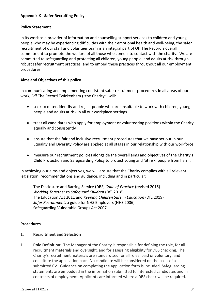#### **Appendix K - Safer Recruiting Policy**

#### **Policy Statement**

In its work as a provider of information and counselling support services to children and young people who may be experiencing difficulties with their emotional health and well-being, the safer recruitment of our staff and volunteer team is an integral part of Off The Record's overall commitment to promote the welfare of all those who come into contact with the charity. We are committed to safeguarding and protecting all children, young people, and adults at risk through robust safer recruitment practices, and to embed these practices throughout all our employment procedures.

#### **Aims and Objectives of this policy**

In communicating and implementing consistent safer recruitment procedures in all areas of our work, Off The Record Twickenham ("the Charity") will:

- seek to deter, identify and reject people who are unsuitable to work with children, young people and adults at risk in all our workplace settings
- treat all candidates who apply for employment or volunteering positions within the Charity equally and consistently
- ensure that the fair and inclusive recruitment procedures that we have set out in our Equality and Diversity Policy are applied at all stages in our relationship with our workforce.
- measure our recruitment policies alongside the overall aims and objectives of the Charity's Child Protection and Safeguarding Policy to protect young and 'at risk' people from harm.

In achieving our aims and objectives, we will ensure that the Charity complies with all relevant legislation, recommendations and guidance, including and in particular:

The Disclosure and Barring Service (DBS) *Code of Practice* (revised 2015) *Working Together to Safeguard Children* (DfE 2018) The Education Act 2011 and *Keeping Children Safe in Education* (DfE 2019) *Safer Recruitment*, a guide for NHS Employers (NHS 2006) Safeguarding Vulnerable Groups Act 2007.

#### **Procedures**

#### **1. Recruitment and Selection**

1.1 **Role Definition:** The Manager of the Charity is responsible for defining the role, for all recruitment materials and oversight, and for assessing eligibility for DBS checking. The Charity's recruitment materials are standardised for all roles, paid or voluntary, and constitute the application pack. No candidate will be considered on the basis of a submitted CV. Guidance on completing the application form is included. Safeguarding statements are embedded in the information submitted to interested candidates and in contracts of employment. Applicants are informed where a DBS check will be required.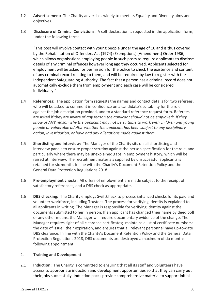- 1.2 **Advertisement:** The Charity advertises widely to meet its Equality and Diversity aims and objectives.
- 1.3 **Disclosure of Criminal Convictions**: A self-declaration is requested in the application form, under the following terms:

"This post will involve contact with young people under the age of 16 and is thus covered by the Rehabilitation of Offenders Act (1974) (Exemptions) (Amendment) Order 1986, which allows organisations employing people in such posts to require applicants to disclose details of any criminal offences however long ago they occurred. Applicants selected for employment will be asked for permission for the police to check the existence and content of any criminal record relating to them, and will be required by law to register with the Independent Safeguarding Authority. The fact that a person has a criminal record does not automatically exclude them from employment and each case will be considered individually."

- 1.4 **References:** The application form requests the names and contact details for two referees, who will be asked to comment in confidence on a candidate's suitability for the role, against the job description provided, and to a standard reference request form. Referees are asked if they are aware of *any reason the applicant should not be employed; if they know of ANY reason why the applicant may not be suitable to work with children and young people or vulnerable adults; whether the applicant has been subject to any disciplinary action, investigation, or have had any allegations made against them.*
- 1.5 **Shortlisting and Interview**: The Manager of the Charity sits on all shortlisting and interview panels to ensure proper scrutiny against the person specification for the role, and particularly where there may be unexplained gaps in employment history, which will be raised at interview. The recruitment materials supplied by unsuccessful applicants is retained for six months in line with the Charity's Document Retention Policy and the General Data Protection Regulations 2018.
- 1.6 **Pre-employment checks**: All offers of employment are made subject to the receipt of satisfactory references, and a DBS check as appropriate.
- 1.6 **DBS checking:** The Charity employs SwiftCheck to process Enhanced checks for its paid and volunteer workforce, including Trustees. The process for verifying identity is explained to all applicants in writing. The Manager is responsible for verifying identity against the documents submitted to her in person. If an applicant has changed their name by deed poll or any other means, the Manager will require documentary evidence of the change. The Manager requires sight of all clearance certificates; maintains a list of certificate numbers; the date of issue; their expiration, and ensures that all relevant personnel have up-to-date DBS clearance. In line with the Charity's Document Retention Policy and the General Data Protection Regulations 2018, DBS documents are destroyed a maximum of six months following appointment.

#### 2. **Training and Development**

2.1 **Induction:** The Charity is committed to ensuring that all its staff and volunteers have access to appropriate induction and development opportunities so that they can carry out their jobs successfully. Induction packs provide comprehensive material to support initial